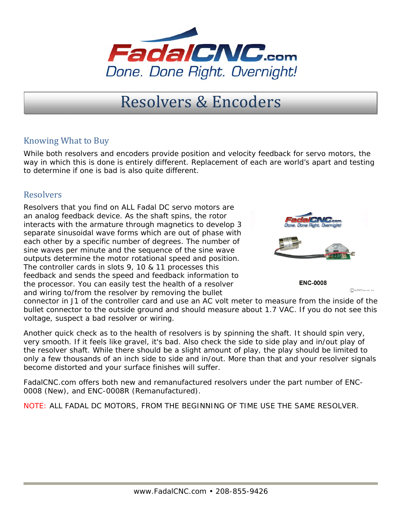

## Resolvers & Encoders

## Knowing What to Buy

While both resolvers and encoders provide position and velocity feedback for servo motors, the way in which this is done is entirely different. Replacement of each are world's apart and testing to determine if one is bad is also quite different.

## **Resolvers**

Resolvers that you find on ALL Fadal DC servo motors are an analog feedback device. As the shaft spins, the rotor interacts with the armature through magnetics to develop 3 separate sinusoidal wave forms which are out of phase with each other by a specific number of degrees. The number of sine waves per minute and the sequence of the sine wave outputs determine the motor rotational speed and position. The controller cards in slots 9, 10 & 11 processes this feedback and sends the speed and feedback information to the processor. You can easily test the health of a resolver and wiring to/from the resolver by removing the bullet



**ENC-0008** 

connector in J1 of the controller card and use an AC volt meter to measure from the inside of the bullet connector to the outside ground and should measure about 1.7 VAC. If you do not see this voltage, suspect a bad resolver or wiring.

Another quick check as to the health of resolvers is by spinning the shaft. It should spin very, very smooth. If it feels like gravel, it's bad. Also check the side to side play and in/out play of the resolver shaft. While there should be a slight amount of play, the play should be limited to only a few thousands of an inch side to side and in/out. More than that and your resolver signals become distorted and your surface finishes will suffer.

FadalCNC.com offers both new and remanufactured resolvers under the part number of ENC-0008 (New), and ENC-0008R (Remanufactured).

NOTE: ALL FADAL DC MOTORS, FROM THE BEGINNING OF TIME USE THE SAME RESOLVER.